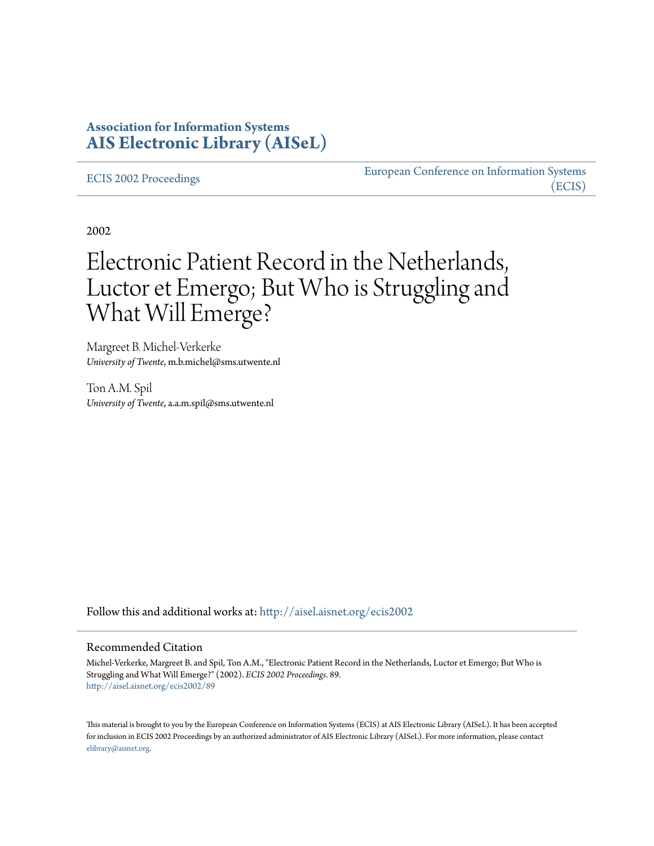## **Association for Information Systems [AIS Electronic Library \(AISeL\)](http://aisel.aisnet.org?utm_source=aisel.aisnet.org%2Fecis2002%2F89&utm_medium=PDF&utm_campaign=PDFCoverPages)**

#### [ECIS 2002 Proceedings](http://aisel.aisnet.org/ecis2002?utm_source=aisel.aisnet.org%2Fecis2002%2F89&utm_medium=PDF&utm_campaign=PDFCoverPages)

[European Conference on Information Systems](http://aisel.aisnet.org/ecis?utm_source=aisel.aisnet.org%2Fecis2002%2F89&utm_medium=PDF&utm_campaign=PDFCoverPages) [\(ECIS\)](http://aisel.aisnet.org/ecis?utm_source=aisel.aisnet.org%2Fecis2002%2F89&utm_medium=PDF&utm_campaign=PDFCoverPages)

2002

# Electronic Patient Record in the Netherlands, Luctor et Emergo; But Who is Struggling and What Will Emerge?

Margreet B. Michel-Verkerke *University of Twente*, m.b.michel@sms.utwente.nl

Ton A.M. Spil *University of Twente*, a.a.m.spil@sms.utwente.nl

Follow this and additional works at: [http://aisel.aisnet.org/ecis2002](http://aisel.aisnet.org/ecis2002?utm_source=aisel.aisnet.org%2Fecis2002%2F89&utm_medium=PDF&utm_campaign=PDFCoverPages)

#### Recommended Citation

Michel-Verkerke, Margreet B. and Spil, Ton A.M., "Electronic Patient Record in the Netherlands, Luctor et Emergo; But Who is Struggling and What Will Emerge?" (2002). *ECIS 2002 Proceedings*. 89. [http://aisel.aisnet.org/ecis2002/89](http://aisel.aisnet.org/ecis2002/89?utm_source=aisel.aisnet.org%2Fecis2002%2F89&utm_medium=PDF&utm_campaign=PDFCoverPages)

This material is brought to you by the European Conference on Information Systems (ECIS) at AIS Electronic Library (AISeL). It has been accepted for inclusion in ECIS 2002 Proceedings by an authorized administrator of AIS Electronic Library (AISeL). For more information, please contact [elibrary@aisnet.org.](mailto:elibrary@aisnet.org%3E)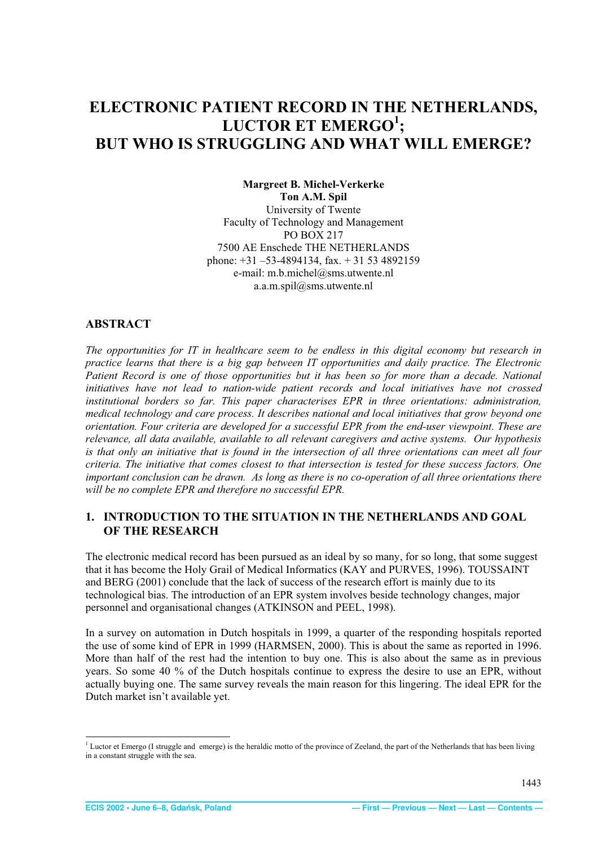# <span id="page-1-0"></span>**ELECTRONIC PATIENT RECORD IN THE NETHERLANDS, LUCTOR ET EMERGO<sup>1</sup> ; BUT WHO IS STRUGGLING AND WHAT WILL EMERGE?**

**Margreet B. Michel-Verkerke Ton A.M. Spil**  University of Twente Faculty of Technology and Management PO BOX 217 7500 AE Enschede THE NETHERLANDS phone: +31 –53-4894134, fax. + 31 53 4892159 e-mail: m.b.michel@sms.utwente.nl a.a.m.spil@sms.utwente.nl

## **ABSTRACT**

*The opportunities for IT in healthcare seem to be endless in this digital economy but research in practice learns that there is a big gap between IT opportunities and daily practice. The Electronic*  Patient Record is one of those opportunities but it has been so for more than a decade. National *initiatives have not lead to nation-wide patient records and local initiatives have not crossed institutional borders so far. This paper characterises EPR in three orientations: administration, medical technology and care process. It describes national and local initiatives that grow beyond one orientation. Four criteria are developed for a successful EPR from the end-user viewpoint. These are relevance, all data available, available to all relevant caregivers and active systems. Our hypothesis is that only an initiative that is found in the intersection of all three orientations can meet all four criteria. The initiative that comes closest to that intersection is tested for these success factors. One important conclusion can be drawn. As long as there is no co-operation of all three orientations there will be no complete EPR and therefore no successful EPR.* 

## **1. INTRODUCTION TO THE SITUATION IN THE NETHERLANDS AND GOAL OF THE RESEARCH**

The electronic medical record has been pursued as an ideal by so many, for so long, that some suggest that it has become the Holy Grail of Medical Informatics (KAY and PURVES, 1996). TOUSSAINT and BERG (2001) conclude that the lack of success of the research effort is mainly due to its technological bias. The introduction of an EPR system involves beside technology changes, major personnel and organisational changes (ATKINSON and PEEL, 1998).

In a survey on automation in Dutch hospitals in 1999, a quarter of the responding hospitals reported the use of some kind of EPR in 1999 (HARMSEN, 2000). This is about the same as reported in 1996. More than half of the rest had the intention to buy one. This is also about the same as in previous years. So some 40 % of the Dutch hospitals continue to express the desire to use an EPR, without actually buying one. The same survey reveals the main reason for this lingering. The ideal EPR for the Dutch market isn't available yet.

<sup>&</sup>lt;sup>1</sup> Luctor et Emergo (I struggle and emerge) is the heraldic motto of the province of Zeeland, the part of the Netherlands that has been living in a constant struggle with the sea.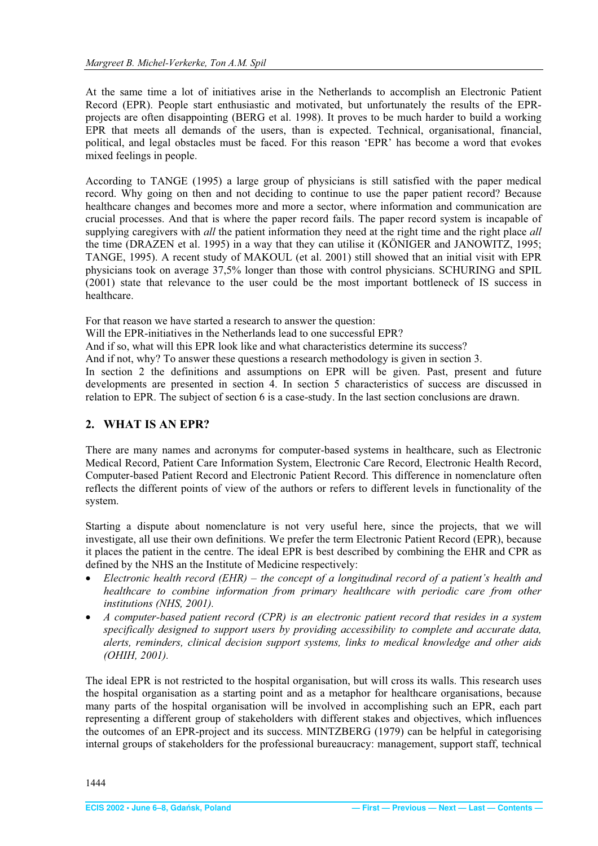<span id="page-2-0"></span>At the same time a lot of initiatives arise in the Netherlands to accomplish an Electronic Patient Record (EPR). People start enthusiastic and motivated, but unfortunately the results of the EPRprojects are often disappointing (BERG et al. 1998). It proves to be much harder to build a working EPR that meets all demands of the users, than is expected. Technical, organisational, financial, political, and legal obstacles must be faced. For this reason 'EPR' has become a word that evokes mixed feelings in people.

According to TANGE (1995) a large group of physicians is still satisfied with the paper medical record. Why going on then and not deciding to continue to use the paper patient record? Because healthcare changes and becomes more and more a sector, where information and communication are crucial processes. And that is where the paper record fails. The paper record system is incapable of supplying caregivers with *all* the patient information they need at the right time and the right place *all* the time (DRAZEN et al. 1995) in a way that they can utilise it (KÖNIGER and JANOWITZ, 1995; TANGE, 1995). A recent study of MAKOUL (et al. 2001) still showed that an initial visit with EPR physicians took on average 37,5% longer than those with control physicians. SCHURING and SPIL (2001) state that relevance to the user could be the most important bottleneck of IS success in healthcare.

For that reason we have started a research to answer the question:

Will the EPR-initiatives in the Netherlands lead to one successful EPR?

And if so, what will this EPR look like and what characteristics determine its success?

And if not, why? To answer these questions a research methodology is given in section 3.

In section 2 the definitions and assumptions on EPR will be given. Past, present and future developments are presented in section 4. In section 5 characteristics of success are discussed in relation to EPR. The subject of section 6 is a case-study. In the last section conclusions are drawn.

## **2. WHAT IS AN EPR?**

There are many names and acronyms for computer-based systems in healthcare, such as Electronic Medical Record, Patient Care Information System, Electronic Care Record, Electronic Health Record, Computer-based Patient Record and Electronic Patient Record. This difference in nomenclature often reflects the different points of view of the authors or refers to different levels in functionality of the system.

Starting a dispute about nomenclature is not very useful here, since the projects, that we will investigate, all use their own definitions. We prefer the term Electronic Patient Record (EPR), because it places the patient in the centre. The ideal EPR is best described by combining the EHR and CPR as defined by the NHS an the Institute of Medicine respectively:

- x *Electronic health record (EHR) the concept of a longitudinal record of a patient's health and healthcare to combine information from primary healthcare with periodic care from other institutions (NHS, 2001).*
- x *A computer-based patient record (CPR) is an electronic patient record that resides in a system specifically designed to support users by providing accessibility to complete and accurate data, alerts, reminders, clinical decision support systems, links to medical knowledge and other aids (OHIH, 2001).*

The ideal EPR is not restricted to the hospital organisation, but will cross its walls. This research uses the hospital organisation as a starting point and as a metaphor for healthcare organisations, because many parts of the hospital organisation will be involved in accomplishing such an EPR, each part representing a different group of stakeholders with different stakes and objectives, which influences the outcomes of an EPR-project and its success. MINTZBERG (1979) can be helpful in categorising internal groups of stakeholders for the professional bureaucracy: management, support staff, technical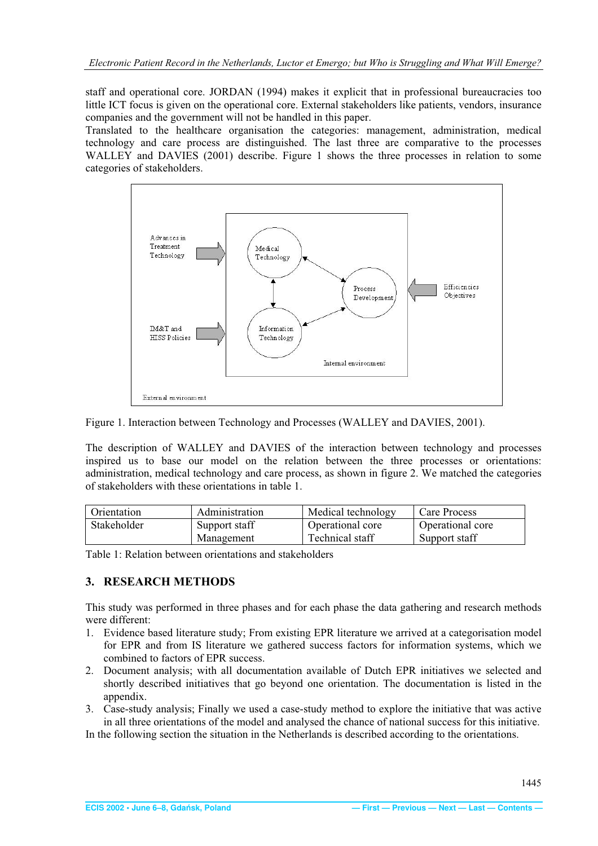<span id="page-3-0"></span>staff and operational core. JORDAN (1994) makes it explicit that in professional bureaucracies too little ICT focus is given on the operational core. External stakeholders like patients, vendors, insurance companies and the government will not be handled in this paper.

Translated to the healthcare organisation the categories: management, administration, medical technology and care process are distinguished. The last three are comparative to the processes WALLEY and DAVIES (2001) describe. Figure 1 shows the three processes in relation to some categories of stakeholders.



Figure 1. Interaction between Technology and Processes (WALLEY and DAVIES, 2001).

The description of WALLEY and DAVIES of the interaction between technology and processes inspired us to base our model on the relation between the three processes or orientations: administration, medical technology and care process, as shown in figure 2. We matched the categories of stakeholders with these orientations in table 1.

| Orientation | Administration | Medical technology | Care Process     |
|-------------|----------------|--------------------|------------------|
| Stakeholder | Support staff  | Operational core   | Operational core |
|             | Management     | Technical staff    | Support staff    |

Table 1: Relation between orientations and stakeholders

## **3. RESEARCH METHODS**

This study was performed in three phases and for each phase the data gathering and research methods were different:

- 1. Evidence based literature study; From existing EPR literature we arrived at a categorisation model for EPR and from IS literature we gathered success factors for information systems, which we combined to factors of EPR success.
- 2. Document analysis; with all documentation available of Dutch EPR initiatives we selected and shortly described initiatives that go beyond one orientation. The documentation is listed in the appendix.
- 3. Case-study analysis; Finally we used a case-study method to explore the initiative that was active in all three orientations of the model and analysed the chance of national success for this initiative.

In the following section the situation in the Netherlands is described according to the orientations.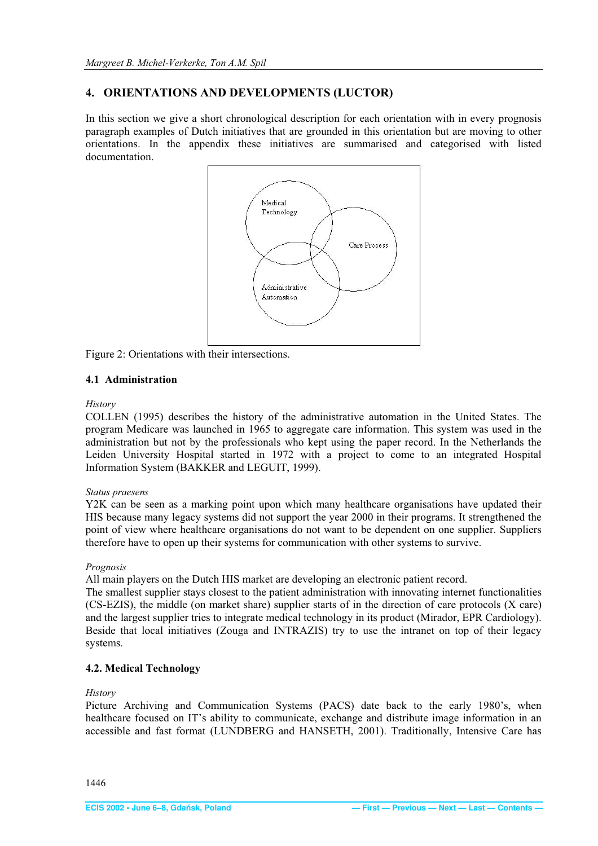## <span id="page-4-0"></span>**4. ORIENTATIONS AND DEVELOPMENTS (LUCTOR)**

In this section we give a short chronological description for each orientation with in every prognosis paragraph examples of Dutch initiatives that are grounded in this orientation but are moving to other orientations. In the appendix these initiatives are summarised and categorised with listed documentation.



Figure 2: Orientations with their intersections.

## **4.1 Administration**

#### *History*

COLLEN (1995) describes the history of the administrative automation in the United States. The program Medicare was launched in 1965 to aggregate care information. This system was used in the administration but not by the professionals who kept using the paper record. In the Netherlands the Leiden University Hospital started in 1972 with a project to come to an integrated Hospital Information System (BAKKER and LEGUIT, 1999).

#### *Status praesens*

Y2K can be seen as a marking point upon which many healthcare organisations have updated their HIS because many legacy systems did not support the year 2000 in their programs. It strengthened the point of view where healthcare organisations do not want to be dependent on one supplier. Suppliers therefore have to open up their systems for communication with other systems to survive.

#### *Prognosis*

All main players on the Dutch HIS market are developing an electronic patient record.

The smallest supplier stays closest to the patient administration with innovating internet functionalities (CS-EZIS), the middle (on market share) supplier starts of in the direction of care protocols (X care) and the largest supplier tries to integrate medical technology in its product (Mirador, EPR Cardiology). Beside that local initiatives (Zouga and INTRAZIS) try to use the intranet on top of their legacy systems.

## **4.2. Medical Technology**

#### *History*

Picture Archiving and Communication Systems (PACS) date back to the early 1980's, when healthcare focused on IT's ability to communicate, exchange and distribute image information in an accessible and fast format (LUNDBERG and HANSETH, 2001). Traditionally, Intensive Care has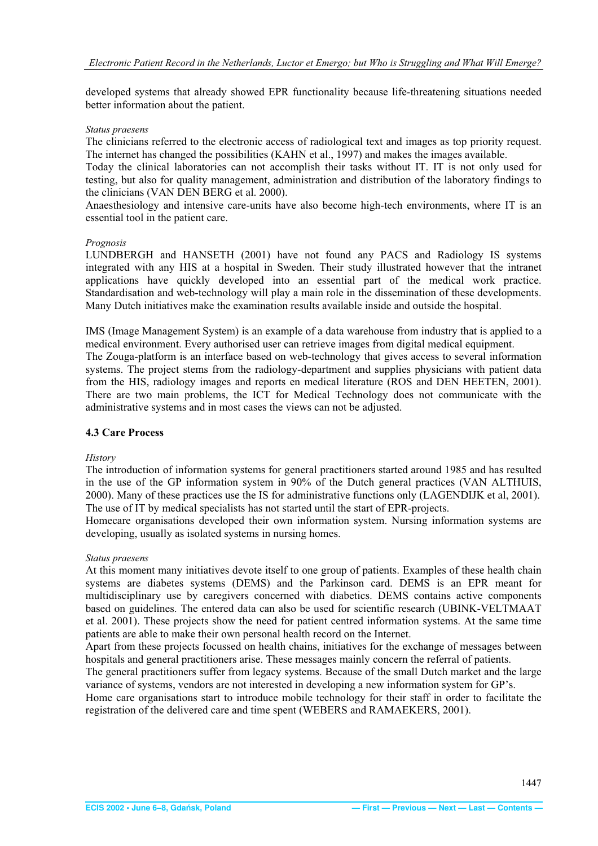<span id="page-5-0"></span>developed systems that already showed EPR functionality because life-threatening situations needed better information about the patient.

#### *Status praesens*

The clinicians referred to the electronic access of radiological text and images as top priority request. The internet has changed the possibilities (KAHN et al., 1997) and makes the images available.

Today the clinical laboratories can not accomplish their tasks without IT. IT is not only used for testing, but also for quality management, administration and distribution of the laboratory findings to the clinicians (VAN DEN BERG et al. 2000).

Anaesthesiology and intensive care-units have also become high-tech environments, where IT is an essential tool in the patient care.

#### *Prognosis*

LUNDBERGH and HANSETH (2001) have not found any PACS and Radiology IS systems integrated with any HIS at a hospital in Sweden. Their study illustrated however that the intranet applications have quickly developed into an essential part of the medical work practice. Standardisation and web-technology will play a main role in the dissemination of these developments. Many Dutch initiatives make the examination results available inside and outside the hospital.

IMS (Image Management System) is an example of a data warehouse from industry that is applied to a medical environment. Every authorised user can retrieve images from digital medical equipment.

The Zouga-platform is an interface based on web-technology that gives access to several information systems. The project stems from the radiology-department and supplies physicians with patient data from the HIS, radiology images and reports en medical literature (ROS and DEN HEETEN, 2001). There are two main problems, the ICT for Medical Technology does not communicate with the administrative systems and in most cases the views can not be adjusted.

## **4.3 Care Process**

## *History*

The introduction of information systems for general practitioners started around 1985 and has resulted in the use of the GP information system in 90% of the Dutch general practices (VAN ALTHUIS, 2000). Many of these practices use the IS for administrative functions only (LAGENDIJK et al, 2001). The use of IT by medical specialists has not started until the start of EPR-projects.

Homecare organisations developed their own information system. Nursing information systems are developing, usually as isolated systems in nursing homes.

#### *Status praesens*

At this moment many initiatives devote itself to one group of patients. Examples of these health chain systems are diabetes systems (DEMS) and the Parkinson card. DEMS is an EPR meant for multidisciplinary use by caregivers concerned with diabetics. DEMS contains active components based on guidelines. The entered data can also be used for scientific research (UBINK-VELTMAAT et al. 2001). These projects show the need for patient centred information systems. At the same time patients are able to make their own personal health record on the Internet.

Apart from these projects focussed on health chains, initiatives for the exchange of messages between hospitals and general practitioners arise. These messages mainly concern the referral of patients.

The general practitioners suffer from legacy systems. Because of the small Dutch market and the large variance of systems, vendors are not interested in developing a new information system for GP's.

Home care organisations start to introduce mobile technology for their staff in order to facilitate the registration of the delivered care and time spent (WEBERS and RAMAEKERS, 2001).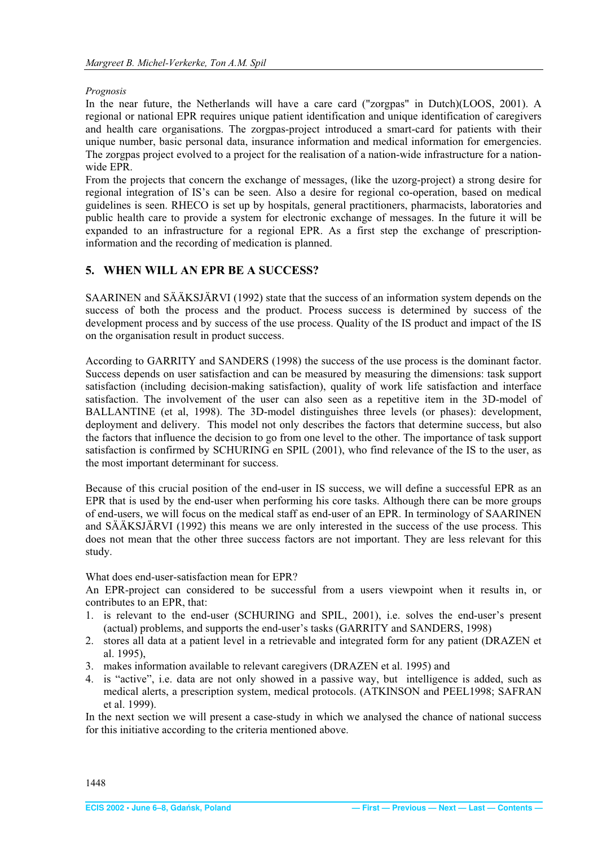#### <span id="page-6-0"></span>*Prognosis*

In the near future, the Netherlands will have a care card ("zorgpas" in Dutch)(LOOS, 2001). A regional or national EPR requires unique patient identification and unique identification of caregivers and health care organisations. The zorgpas-project introduced a smart-card for patients with their unique number, basic personal data, insurance information and medical information for emergencies. The zorgpas project evolved to a project for the realisation of a nation-wide infrastructure for a nationwide EPR.

From the projects that concern the exchange of messages, (like the uzorg-project) a strong desire for regional integration of IS's can be seen. Also a desire for regional co-operation, based on medical guidelines is seen. RHECO is set up by hospitals, general practitioners, pharmacists, laboratories and public health care to provide a system for electronic exchange of messages. In the future it will be expanded to an infrastructure for a regional EPR. As a first step the exchange of prescriptioninformation and the recording of medication is planned.

## **5. WHEN WILL AN EPR BE A SUCCESS?**

SAARINEN and SÄÄKSJÄRVI (1992) state that the success of an information system depends on the success of both the process and the product. Process success is determined by success of the development process and by success of the use process. Quality of the IS product and impact of the IS on the organisation result in product success.

According to GARRITY and SANDERS (1998) the success of the use process is the dominant factor. Success depends on user satisfaction and can be measured by measuring the dimensions: task support satisfaction (including decision-making satisfaction), quality of work life satisfaction and interface satisfaction. The involvement of the user can also seen as a repetitive item in the 3D-model of BALLANTINE (et al, 1998). The 3D-model distinguishes three levels (or phases): development, deployment and delivery. This model not only describes the factors that determine success, but also the factors that influence the decision to go from one level to the other. The importance of task support satisfaction is confirmed by SCHURING en SPIL (2001), who find relevance of the IS to the user, as the most important determinant for success.

Because of this crucial position of the end-user in IS success, we will define a successful EPR as an EPR that is used by the end-user when performing his core tasks. Although there can be more groups of end-users, we will focus on the medical staff as end-user of an EPR. In terminology of SAARINEN and SÄÄKSJÄRVI (1992) this means we are only interested in the success of the use process. This does not mean that the other three success factors are not important. They are less relevant for this study.

## What does end-user-satisfaction mean for EPR?

An EPR-project can considered to be successful from a users viewpoint when it results in, or contributes to an EPR, that:

- 1. is relevant to the end-user (SCHURING and SPIL, 2001), i.e. solves the end-user's present (actual) problems, and supports the end-user's tasks (GARRITY and SANDERS, 1998)
- 2. stores all data at a patient level in a retrievable and integrated form for any patient (DRAZEN et al. 1995),
- 3. makes information available to relevant caregivers (DRAZEN et al. 1995) and
- 4. is "active", i.e. data are not only showed in a passive way, but intelligence is added, such as medical alerts, a prescription system, medical protocols. (ATKINSON and PEEL1998; SAFRAN et al. 1999).

In the next section we will present a case-study in which we analysed the chance of national success for this initiative according to the criteria mentioned above.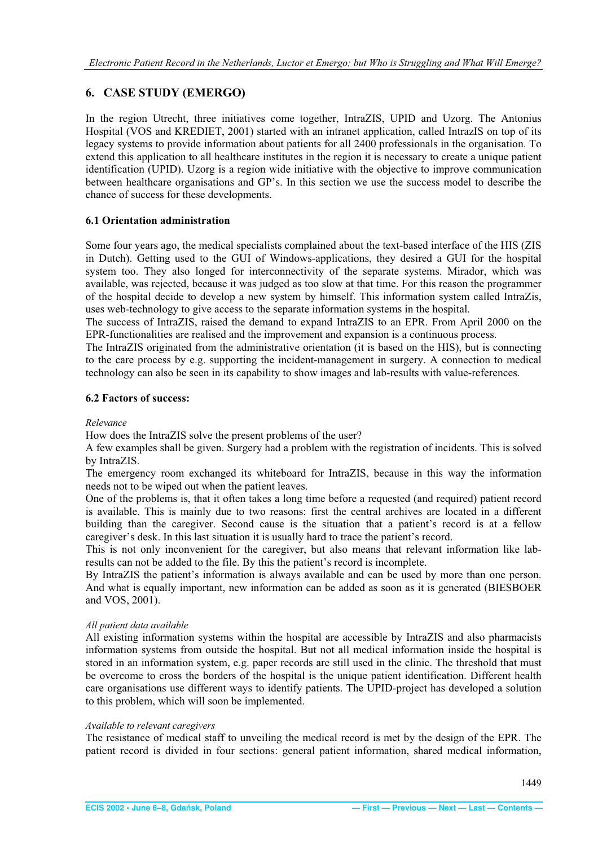## <span id="page-7-0"></span>**6. CASE STUDY (EMERGO)**

In the region Utrecht, three initiatives come together, IntraZIS, UPID and Uzorg. The Antonius Hospital (VOS and KREDIET, 2001) started with an intranet application, called IntrazIS on top of its legacy systems to provide information about patients for all 2400 professionals in the organisation. To extend this application to all healthcare institutes in the region it is necessary to create a unique patient identification (UPID). Uzorg is a region wide initiative with the objective to improve communication between healthcare organisations and GP's. In this section we use the success model to describe the chance of success for these developments.

## **6.1 Orientation administration**

Some four years ago, the medical specialists complained about the text-based interface of the HIS (ZIS in Dutch). Getting used to the GUI of Windows-applications, they desired a GUI for the hospital system too. They also longed for interconnectivity of the separate systems. Mirador, which was available, was rejected, because it was judged as too slow at that time. For this reason the programmer of the hospital decide to develop a new system by himself. This information system called IntraZis, uses web-technology to give access to the separate information systems in the hospital.

The success of IntraZIS, raised the demand to expand IntraZIS to an EPR. From April 2000 on the EPR-functionalities are realised and the improvement and expansion is a continuous process.

The IntraZIS originated from the administrative orientation (it is based on the HIS), but is connecting to the care process by e.g. supporting the incident-management in surgery. A connection to medical technology can also be seen in its capability to show images and lab-results with value-references.

## **6.2 Factors of success:**

## *Relevance*

How does the IntraZIS solve the present problems of the user?

A few examples shall be given. Surgery had a problem with the registration of incidents. This is solved by IntraZIS.

The emergency room exchanged its whiteboard for IntraZIS, because in this way the information needs not to be wiped out when the patient leaves.

One of the problems is, that it often takes a long time before a requested (and required) patient record is available. This is mainly due to two reasons: first the central archives are located in a different building than the caregiver. Second cause is the situation that a patient's record is at a fellow caregiver's desk. In this last situation it is usually hard to trace the patient's record.

This is not only inconvenient for the caregiver, but also means that relevant information like labresults can not be added to the file. By this the patient's record is incomplete.

By IntraZIS the patient's information is always available and can be used by more than one person. And what is equally important, new information can be added as soon as it is generated (BIESBOER and VOS, 2001).

## *All patient data available*

All existing information systems within the hospital are accessible by IntraZIS and also pharmacists information systems from outside the hospital. But not all medical information inside the hospital is stored in an information system, e.g. paper records are still used in the clinic. The threshold that must be overcome to cross the borders of the hospital is the unique patient identification. Different health care organisations use different ways to identify patients. The UPID-project has developed a solution to this problem, which will soon be implemented.

## *Available to relevant caregivers*

The resistance of medical staff to unveiling the medical record is met by the design of the EPR. The patient record is divided in four sections: general patient information, shared medical information,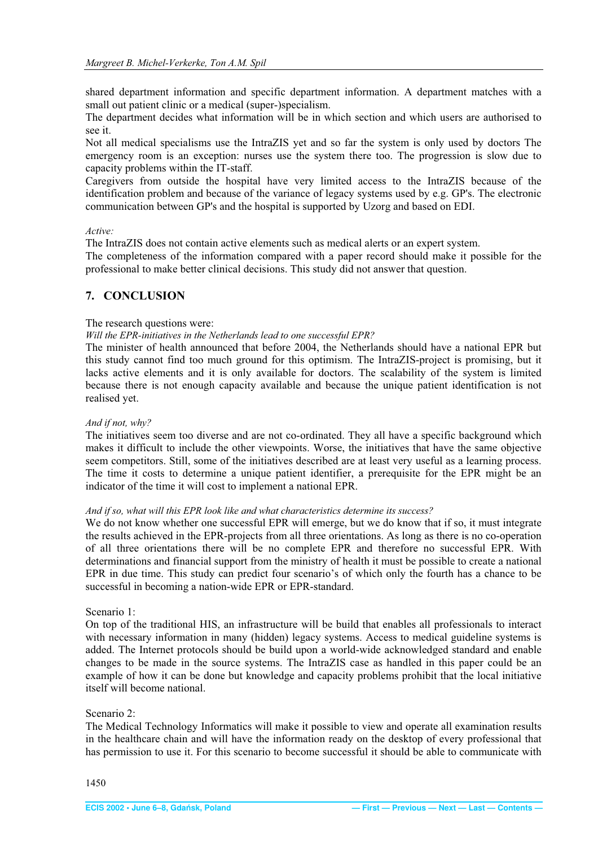<span id="page-8-0"></span>shared department information and specific department information. A department matches with a small out patient clinic or a medical (super-)specialism.

The department decides what information will be in which section and which users are authorised to see it.

Not all medical specialisms use the IntraZIS yet and so far the system is only used by doctors The emergency room is an exception: nurses use the system there too. The progression is slow due to capacity problems within the IT-staff.

Caregivers from outside the hospital have very limited access to the IntraZIS because of the identification problem and because of the variance of legacy systems used by e.g. GP's. The electronic communication between GP's and the hospital is supported by Uzorg and based on EDI.

#### *Active:*

The IntraZIS does not contain active elements such as medical alerts or an expert system.

The completeness of the information compared with a paper record should make it possible for the professional to make better clinical decisions. This study did not answer that question.

#### **7. CONCLUSION**

The research questions were:

*Will the EPR-initiatives in the Netherlands lead to one successful EPR?* 

The minister of health announced that before 2004, the Netherlands should have a national EPR but this study cannot find too much ground for this optimism. The IntraZIS-project is promising, but it lacks active elements and it is only available for doctors. The scalability of the system is limited because there is not enough capacity available and because the unique patient identification is not realised yet.

#### *And if not, why?*

The initiatives seem too diverse and are not co-ordinated. They all have a specific background which makes it difficult to include the other viewpoints. Worse, the initiatives that have the same objective seem competitors. Still, some of the initiatives described are at least very useful as a learning process. The time it costs to determine a unique patient identifier, a prerequisite for the EPR might be an indicator of the time it will cost to implement a national EPR.

#### *And if so, what will this EPR look like and what characteristics determine its success?*

We do not know whether one successful EPR will emerge, but we do know that if so, it must integrate the results achieved in the EPR-projects from all three orientations. As long as there is no co-operation of all three orientations there will be no complete EPR and therefore no successful EPR. With determinations and financial support from the ministry of health it must be possible to create a national EPR in due time. This study can predict four scenario's of which only the fourth has a chance to be successful in becoming a nation-wide EPR or EPR-standard.

#### Scenario 1:

On top of the traditional HIS, an infrastructure will be build that enables all professionals to interact with necessary information in many (hidden) legacy systems. Access to medical guideline systems is added. The Internet protocols should be build upon a world-wide acknowledged standard and enable changes to be made in the source systems. The IntraZIS case as handled in this paper could be an example of how it can be done but knowledge and capacity problems prohibit that the local initiative itself will become national.

#### Scenario 2:

The Medical Technology Informatics will make it possible to view and operate all examination results in the healthcare chain and will have the information ready on the desktop of every professional that has permission to use it. For this scenario to become successful it should be able to communicate with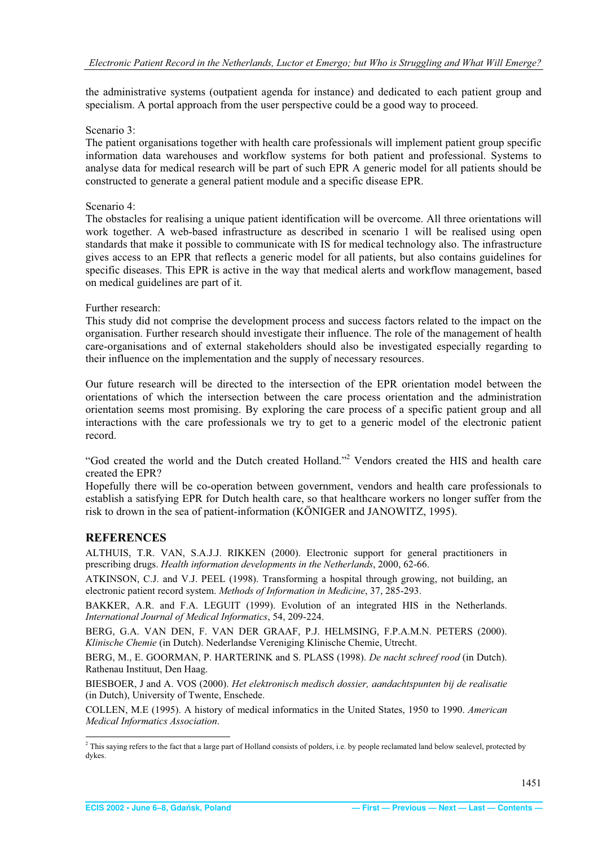<span id="page-9-0"></span>the administrative systems (outpatient agenda for instance) and dedicated to each patient group and specialism. A portal approach from the user perspective could be a good way to proceed.

#### Scenario 3:

The patient organisations together with health care professionals will implement patient group specific information data warehouses and workflow systems for both patient and professional. Systems to analyse data for medical research will be part of such EPR A generic model for all patients should be constructed to generate a general patient module and a specific disease EPR.

#### Scenario 4:

The obstacles for realising a unique patient identification will be overcome. All three orientations will work together. A web-based infrastructure as described in scenario 1 will be realised using open standards that make it possible to communicate with IS for medical technology also. The infrastructure gives access to an EPR that reflects a generic model for all patients, but also contains guidelines for specific diseases. This EPR is active in the way that medical alerts and workflow management, based on medical guidelines are part of it.

#### Further research:

This study did not comprise the development process and success factors related to the impact on the organisation. Further research should investigate their influence. The role of the management of health care-organisations and of external stakeholders should also be investigated especially regarding to their influence on the implementation and the supply of necessary resources.

Our future research will be directed to the intersection of the EPR orientation model between the orientations of which the intersection between the care process orientation and the administration orientation seems most promising. By exploring the care process of a specific patient group and all interactions with the care professionals we try to get to a generic model of the electronic patient record.

"God created the world and the Dutch created Holland."<sup>2</sup> Vendors created the HIS and health care created the EPR?

Hopefully there will be co-operation between government, vendors and health care professionals to establish a satisfying EPR for Dutch health care, so that healthcare workers no longer suffer from the risk to drown in the sea of patient-information (KÖNIGER and JANOWITZ, 1995).

## **REFERENCES**

ALTHUIS, T.R. VAN, S.A.J.J. RIKKEN (2000). Electronic support for general practitioners in prescribing drugs. *Health information developments in the Netherlands*, 2000, 62-66.

ATKINSON, C.J. and V.J. PEEL (1998). Transforming a hospital through growing, not building, an electronic patient record system. *Methods of Information in Medicine*, 37, 285-293.

BAKKER, A.R. and F.A. LEGUIT (1999). Evolution of an integrated HIS in the Netherlands. *International Journal of Medical Informatics*, 54, 209-224.

BERG, G.A. VAN DEN, F. VAN DER GRAAF, P.J. HELMSING, F.P.A.M.N. PETERS (2000). *Klinische Chemie* (in Dutch). Nederlandse Vereniging Klinische Chemie, Utrecht.

BERG, M., E. GOORMAN, P. HARTERINK and S. PLASS (1998). *De nacht schreef rood* (in Dutch). Rathenau Instituut, Den Haag.

BIESBOER, J and A. VOS (2000). *Het elektronisch medisch dossier, aandachtspunten bij de realisatie*  (in Dutch), University of Twente, Enschede.

COLLEN, M.E (1995). A history of medical informatics in the United States, 1950 to 1990. *American Medical Informatics Association*.

 $<sup>2</sup>$  This saying refers to the fact that a large part of Holland consists of polders, i.e. by people reclamated land below sealevel, protected by</sup> dykes.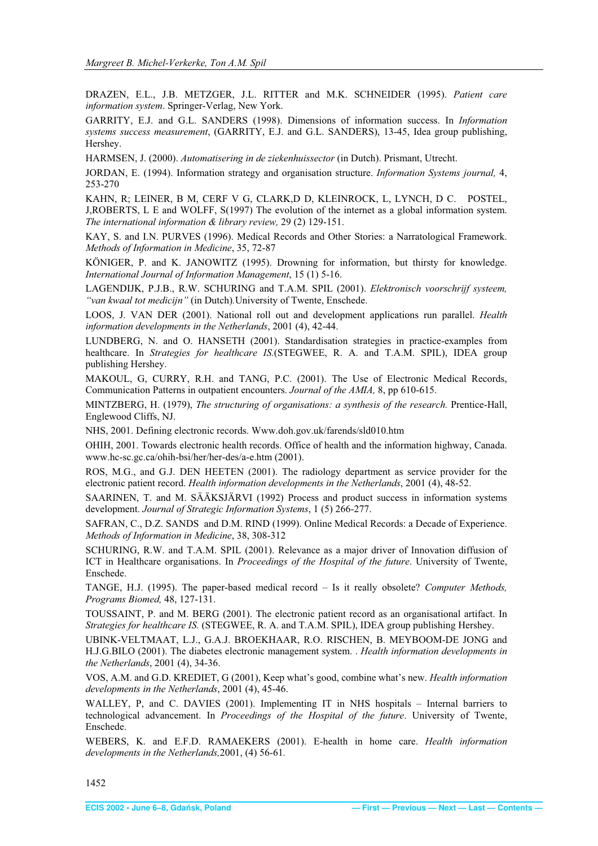<span id="page-10-0"></span>DRAZEN, E.L., J.B. METZGER, J.L. RITTER and M.K. SCHNEIDER (1995). *Patient care information system*. Springer-Verlag, New York.

GARRITY, E.J. and G.L. SANDERS (1998). Dimensions of information success. In *Information systems success measurement*, (GARRITY, E.J. and G.L. SANDERS), 13-45, Idea group publishing, Hershey.

HARMSEN, J. (2000). *Automatisering in de ziekenhuissector* (in Dutch). Prismant, Utrecht.

JORDAN, E. (1994). Information strategy and organisation structure. *Information Systems journal,* 4, 253-270

KAHN, R; LEINER, B M, CERF V G, CLARK,D D, KLEINROCK, L, LYNCH, D C. POSTEL, J,ROBERTS, L E and WOLFF, S(1997) The evolution of the internet as a global information system. *The international information & library review,* 29 (2) 129-151.

KAY, S. and I.N. PURVES (1996). Medical Records and Other Stories: a Narratological Framework. *Methods of Information in Medicine*, 35, 72-87

KÖNIGER, P. and K. JANOWITZ (1995). Drowning for information, but thirsty for knowledge. *International Journal of Information Management*, 15 (1) 5-16.

LAGENDIJK, P.J.B., R.W. SCHURING and T.A.M. SPIL (2001). *Elektronisch voorschrijf systeem, "van kwaal tot medicijn"* (in Dutch)*.*University of Twente, Enschede.

LOOS, J. VAN DER (2001). National roll out and development applications run parallel. *Health information developments in the Netherlands*, 2001 (4), 42-44.

LUNDBERG, N. and O. HANSETH (2001). Standardisation strategies in practice-examples from healthcare. In *Strategies for healthcare IS.*(STEGWEE, R. A. and T.A.M. SPIL), IDEA group publishing Hershey.

MAKOUL, G, CURRY, R.H. and TANG, P.C. (2001). The Use of Electronic Medical Records, Communication Patterns in outpatient encounters. *Journal of the AMIA,* 8, pp 610-615.

MINTZBERG, H. (1979), *The structuring of organisations: a synthesis of the research.* Prentice-Hall, Englewood Cliffs, NJ.

NHS, 2001. Defining electronic records. Www.doh.gov.uk/farends/sld010.htm

OHIH, 2001. Towards electronic health records. Office of health and the information highway, Canada. www.hc-sc.gc.ca/ohih-bsi/her/her-des/a-e.htm (2001).

ROS, M.G., and G.J. DEN HEETEN (2001). The radiology department as service provider for the electronic patient record. *Health information developments in the Netherlands*, 2001 (4), 48-52.

SAARINEN, T. and M. SÄÄKSJÄRVI (1992) Process and product success in information systems development. *Journal of Strategic Information Systems*, 1 (5) 266-277.

SAFRAN, C., D.Z. SANDS and D.M. RIND (1999). Online Medical Records: a Decade of Experience. *Methods of Information in Medicine*, 38, 308-312

SCHURING, R.W. and T.A.M. SPIL (2001). Relevance as a major driver of Innovation diffusion of ICT in Healthcare organisations. In *Proceedings of the Hospital of the future*. University of Twente, Enschede.

TANGE, H.J. (1995). The paper-based medical record – Is it really obsolete? *Computer Methods, Programs Biomed,* 48, 127-131.

TOUSSAINT, P. and M. BERG (2001). The electronic patient record as an organisational artifact. In *Strategies for healthcare IS.* (STEGWEE, R. A. and T.A.M. SPIL), IDEA group publishing Hershey.

UBINK-VELTMAAT, L.J., G.A.J. BROEKHAAR, R.O. RISCHEN, B. MEYBOOM-DE JONG and H.J.G.BILO (2001). The diabetes electronic management system. . *Health information developments in the Netherlands*, 2001 (4), 34-36.

VOS, A.M. and G.D. KREDIET, G (2001), Keep what's good, combine what's new. *Health information developments in the Netherlands*, 2001 (4), 45-46.

WALLEY, P, and C. DAVIES (2001). Implementing IT in NHS hospitals – Internal barriers to technological advancement. In *Proceedings of the Hospital of the future*. University of Twente, Enschede.

WEBERS, K. and E.F.D. RAMAEKERS (2001). E-health in home care. *Health information developments in the Netherlands,*2001, (4) 56-61*.*

1452